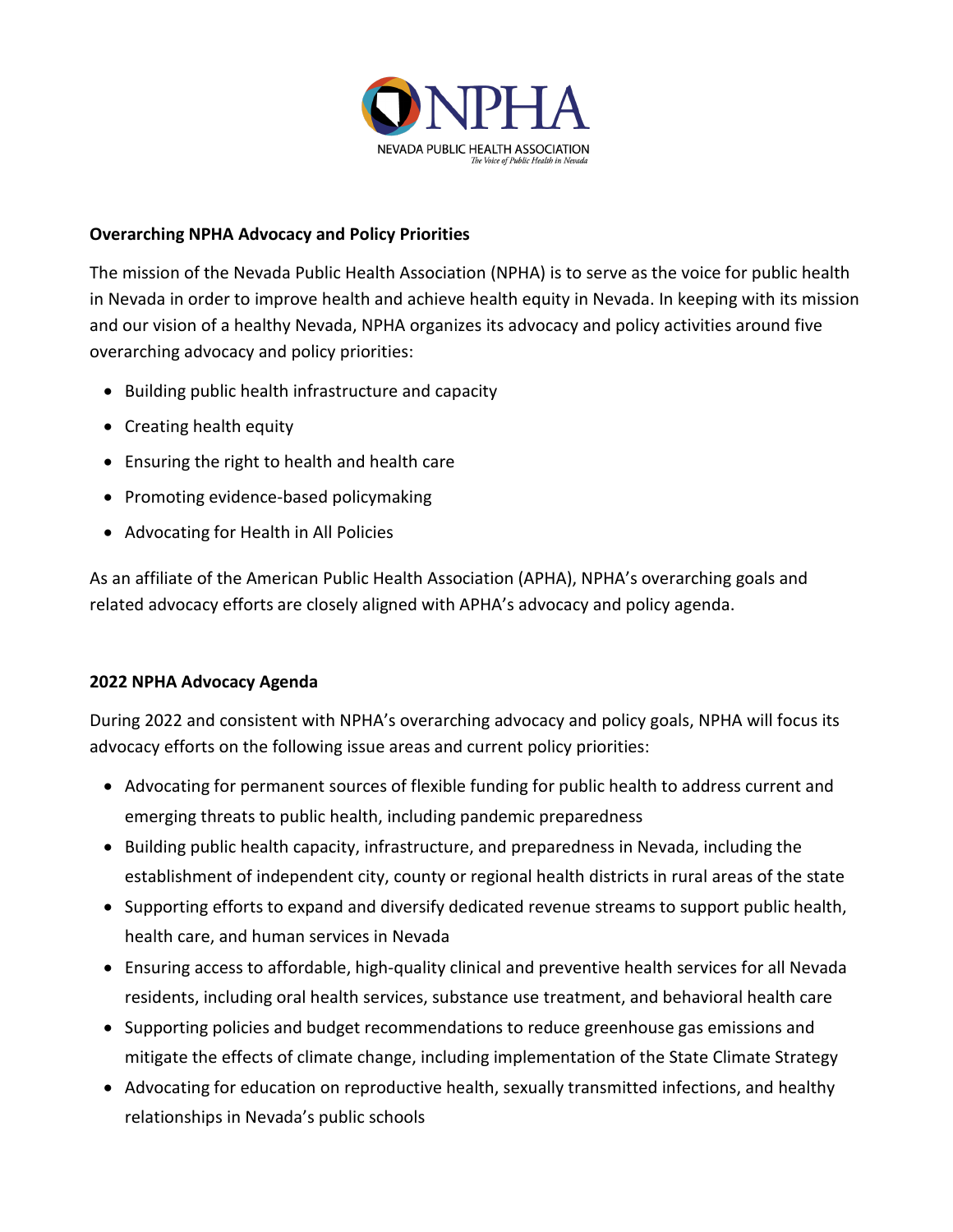

## **Overarching NPHA Advocacy and Policy Priorities**

The mission of the Nevada Public Health Association (NPHA) is to serve as the voice for public health in Nevada in order to improve health and achieve health equity in Nevada. In keeping with its mission and our vision of a healthy Nevada, NPHA organizes its advocacy and policy activities around five overarching advocacy and policy priorities:

- Building public health infrastructure and capacity
- Creating health equity
- Ensuring the right to health and health care
- Promoting evidence-based policymaking
- Advocating for Health in All Policies

As an affiliate of the American Public Health Association (APHA), NPHA's overarching goals and related advocacy efforts are closely aligned with APHA's advocacy and policy agenda.

## **2022 NPHA Advocacy Agenda**

During 2022 and consistent with NPHA's overarching advocacy and policy goals, NPHA will focus its advocacy efforts on the following issue areas and current policy priorities:

- Advocating for permanent sources of flexible funding for public health to address current and emerging threats to public health, including pandemic preparedness
- Building public health capacity, infrastructure, and preparedness in Nevada, including the establishment of independent city, county or regional health districts in rural areas of the state
- Supporting efforts to expand and diversify dedicated revenue streams to support public health, health care, and human services in Nevada
- Ensuring access to affordable, high-quality clinical and preventive health services for all Nevada residents, including oral health services, substance use treatment, and behavioral health care
- Supporting policies and budget recommendations to reduce greenhouse gas emissions and mitigate the effects of climate change, including implementation of the State Climate Strategy
- Advocating for education on reproductive health, sexually transmitted infections, and healthy relationships in Nevada's public schools